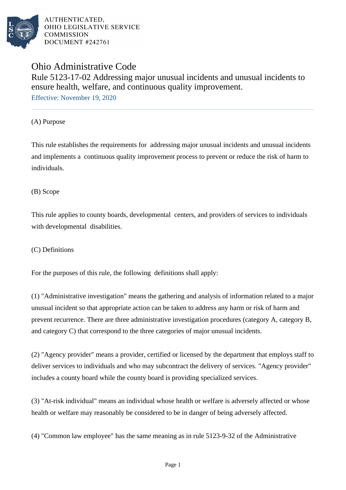

# Ohio Administrative Code Rule 5123-17-02 Addressing major unusual incidents and unusual incidents to ensure health, welfare, and continuous quality improvement.

Effective: November 19, 2020

(A) Purpose

This rule establishes the requirements for addressing major unusual incidents and unusual incidents and implements a continuous quality improvement process to prevent or reduce the risk of harm to individuals.

(B) Scope

This rule applies to county boards, developmental centers, and providers of services to individuals with developmental disabilities.

(C) Definitions

For the purposes of this rule, the following definitions shall apply:

(1) "Administrative investigation" means the gathering and analysis of information related to a major unusual incident so that appropriate action can be taken to address any harm or risk of harm and prevent recurrence. There are three administrative investigation procedures (category A, category B, and category  $C$ ) that correspond to the three categories of major unusual incidents.

(2) "Agency provider" means a provider, certified or licensed by the department that employs staff to deliver services to individuals and who may subcontract the delivery of services. "Agency provider" includes a county board while the county board is providing specialized services.

(3) "At-risk individual" means an individual whose health or welfare is adversely affected or whose health or welfare may reasonably be considered to be in danger of being adversely affected.

(4) "Common law employee" has the same meaning as in rule 5123-9-32 of the Administrative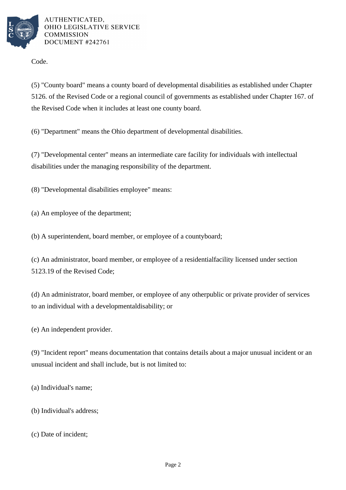

Code.

(5) "County board" means a county board of developmental disabilities as established under Chapter 5126. of the Revised Code or a regional council of governments as established under Chapter 167. of the Revised Code when it includes at least one county board.

(6) "Department" means the Ohio department of developmental disabilities.

(7) "Developmental center" means an intermediate care facility for individuals with intellectual disabilities under the managing responsibility of the department.

(8) "Developmental disabilities employee" means:

(a) An employee of the department;

(b) A superintendent, board member, or employee of a county board;

(c) An administrator, board member, or employee of a residential facility licensed under section 5123.19 of the Revised Code;

(d) An administrator, board member, or employee of any other public or private provider of services to an individual with a developmental disability; or

(e) An independent provider.

(9) "Incident report" means documentation that contains details about a major unusual incident or an unusual incident and shall include, but is not limited to:

(a) Individual's name;

(b) Individual's address;

(c) Date of incident;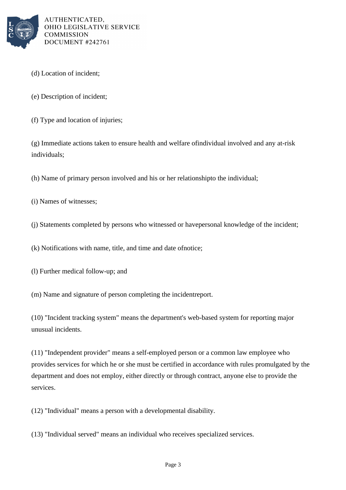

- (d) Location of incident;
- (e) Description of incident;
- (f) Type and location of injuries;

 $(g)$  Immediate actions taken to ensure health and welfare of individual involved and any at-risk individuals;

(h) Name of primary person involved and his or her relationship to the individual;

- (i) Names of witnesses;
- (j) Statements completed by persons who witnessed or have personal knowledge of the incident;

 $(k)$  Notifications with name, title, and time and date of notice;

- (l) Further medical follow-up; and
- (m) Name and signature of person completing the incident report.

(10) "Incident tracking system" means the department's web-based system for reporting major unusual incidents.

(11) "Independent provider" means a self-employed person or a common law employee who provides services for which he or she must be certified in accordance with rules promulgated by the department and does not employ, either directly or through contract, anyone else to provide the services.

(12) "Individual" means a person with a developmental disability.

(13) "Individual served" means an individual who receives specialized services.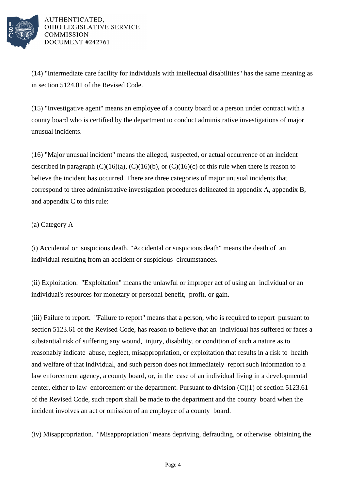

 $(14)$  "Intermediate care facility for individuals with intellectual disabilities" has the same meaning as in section 5124.01 of the Revised Code.

 $(15)$  "Investigative agent" means an employee of a county board or a person under contract with a county board who is certified by the department to conduct administrative investigations of major unusual incidents.

 $(16)$  "Major unusual incident" means the alleged, suspected, or actual occurrence of an incident described in paragraph  $(C)(16)(a)$ ,  $(C)(16)(b)$ , or  $(C)(16)(c)$  of this rule when there is reason to believe the incident has occurred. There are three categories of major unusual incidents that correspond to three administrative investigation procedures delineated in appendix A, appendix B, and appendix C to this rule:

### (a) Category A

(i) Accidental or suspicious death. "Accidental or suspicious death" means the death of an individual resulting from an accident or suspicious circumstances.

(ii) Exploitation. "Exploitation" means the unlawful or improper act of using an individual or an individual's resources for monetary or personal benefit, profit, or gain.

(iii) Failure to report. "Failure to report" means that a person, who is required to report pursuant to section 5123.61 of the Revised Code, has reason to believe that an individual has suffered or faces a substantial risk of suffering any wound, injury, disability, or condition of such a nature as to reasonably indicate abuse, neglect, misappropriation, or exploitation that results in a risk to health and welfare of that individual, and such person does not immediately report such information to a law enforcement agency, a county board, or, in the case of an individual living in a developmental center, either to law enforcement or the department. Pursuant to division  $(C)(1)$  of section 5123.61 of the Revised Code, such report shall be made to the department and the county board when the incident involves an act or omission of an employee of a county board.

(iv) Misappropriation. "Misappropriation" means depriving, defrauding, or otherwise obtaining the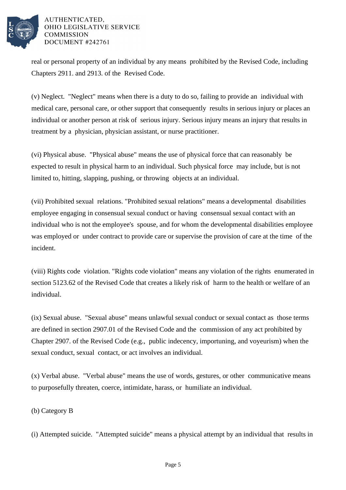

real or personal property of an individual by any means prohibited by the Revised Code, including Chapters 2911. and 2913. of the Revised Code.

(v) Neglect. "Neglect" means when there is a duty to do so, failing to provide an individual with medical care, personal care, or other support that consequently results in serious injury or places an individual or another person at risk of serious injury. Serious injury means an injury that results in treatment by a physician, physician assistant, or nurse practitioner.

(vi) Physical abuse. "Physical abuse" means the use of physical force that can reasonably be expected to result in physical harm to an individual. Such physical force may include, but is not limited to, hitting, slapping, pushing, or throwing objects at an individual.

(vii) Prohibited sexual relations. "Prohibited sexual relations" means a developmental disabilities employee engaging in consensual sexual conduct or having consensual sexual contact with an individual who is not the employee's spouse, and for whom the developmental disabilities employee was employed or under contract to provide care or supervise the provision of care at the time of the incident.

(viii) Rights code violation. "Rights code violation" means any violation of the rights enumerated in section 5123.62 of the Revised Code that creates a likely risk of harm to the health or welfare of an individual.

(ix) Sexual abuse. "Sexual abuse" means unlawful sexual conduct or sexual contact as those terms are defined in section 2907.01 of the Revised Code and the commission of any act prohibited by Chapter 2907. of the Revised Code (e.g., public indecency, importuning, and voyeurism) when the sexual conduct, sexual contact, or act involves an individual.

 $(x)$  Verbal abuse. "Verbal abuse" means the use of words, gestures, or other communicative means to purposefully threaten, coerce, intimidate, harass, or humiliate an individual.

(b) Category B

(i) Attempted suicide. "Attempted suicide" means a physical attempt by an individual that results in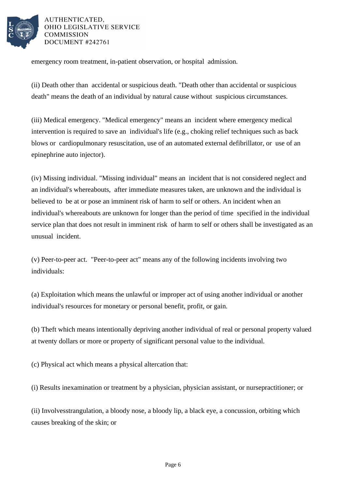

emergency room treatment, in-patient observation, or hospital admission.

(ii) Death other than accidental or suspicious death. "Death other than accidental or suspicious death" means the death of an individual by natural cause without suspicious circumstances.

(iii) Medical emergency. "Medical emergency" means an incident where emergency medical intervention is required to save an individual's life (e.g., choking relief techniques such as back blows or cardiopulmonary resuscitation, use of an automated external defibrillator, or use of an epinephrine auto injector).

(iv) Missing individual. "Missing individual" means an incident that is not considered neglect and an individual's whereabouts, after immediate measures taken, are unknown and the individual is believed to be at or pose an imminent risk of harm to self or others. An incident when an individual's whereabouts are unknown for longer than the period of time specified in the individual service plan that does not result in imminent risk of harm to self or others shall be investigated as an unusual incident.

(v) Peer-to-peer act. "Peer-to-peer act" means any of the following incidents involving two individuals:

(a) Exploitation which means the unlawful or improper act of using another individual or another individual's resources for monetary or personal benefit, profit, or gain.

(b) Theft which means intentionally depriving another individual of real or personal property valued at twenty dollars or more or property of significant personal value to the individual.

(c) Physical act which means a physical altercation that:

(i) Results in examination or treatment by a physician, physician assistant, or nurse practitioner; or

(ii) Involves strangulation, a bloody nose, a bloody lip, a black eye, a concussion, or biting which causes breaking of the skin; or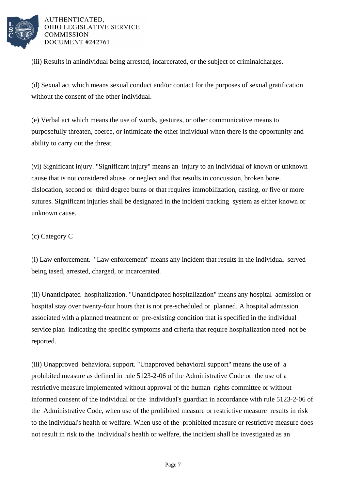

(iii) Results in an individual being arrested, incarcerated, or the subject of criminal charges.

(d) Sexual act which means sexual conduct and/or contact for the purposes of sexual gratification without the consent of the other individual.

(e) Verbal act which means the use of words, gestures, or other communicative means to purposefully threaten, coerce, or intimidate the other individual when there is the opportunity and ability to carry out the threat.

(vi) Significant injury. "Significant injury" means an injury to an individual of known or unknown cause that is not considered abuse or neglect and that results in concussion, broken bone, dislocation, second or third degree burns or that requires immobilization, casting, or five or more sutures. Significant injuries shall be designated in the incident tracking system as either known or unknown cause.

(c) Category C

(i) Law enforcement. "Law enforcement" means any incident that results in the individual served being tased, arrested, charged, or incarcerated.

(ii) Unanticipated hospitalization. "Unanticipated hospitalization" means any hospital admission or hospital stay over twenty-four hours that is not pre-scheduled or planned. A hospital admission associated with a planned treatment or pre-existing condition that is specified in the individual service plan indicating the specific symptoms and criteria that require hospitalization need not be reported.

(iii) Unapproved behavioral support. "Unapproved behavioral support" means the use of a prohibited measure as defined in rule 5123-2-06 of the Administrative Code or the use of a restrictive measure implemented without approval of the human rights committee or without informed consent of the individual or the individual's guardian in accordance with rule 5123-2-06 of the Administrative Code, when use of the prohibited measure or restrictive measure results in risk to the individual's health or welfare. When use of the prohibited measure or restrictive measure does not result in risk to the individual's health or welfare, the incident shall be investigated as an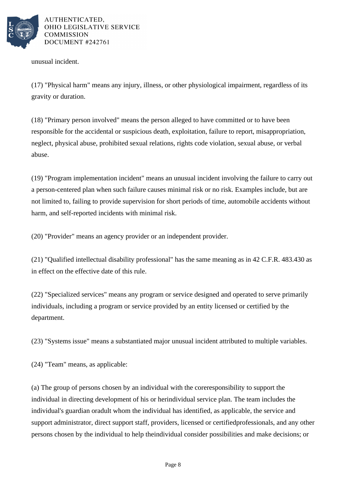

unusual incident.

(17) "Physical harm" means any injury, illness, or other physiological impairment, regardless of its gravity or duration.

(18) "Primary person involved" means the person alleged to have committed or to have been responsible for the accidental or suspicious death, exploitation, failure to report, misappropriation, neglect, physical abuse, prohibited sexual relations, rights code violation, sexual abuse, or verbal abuse.

 $(19)$  "Program implementation incident" means an unusual incident involving the failure to carry out a person-centered plan when such failure causes minimal risk or no risk. Examples include, but are not limited to, failing to provide supervision for short periods of time, automobile accidents without harm, and self-reported incidents with minimal risk.

(20) "Provider" means an agency provider or an independent provider.

(21) "Qualified intellectual disability professional" has the same meaning as in  $42$  C.F.R.  $483.430$  as in effect on the effective date of this rule.

(22) "Specialized services" means any program or service designed and operated to serve primarily individuals, including a program or service provided by an entity licensed or certified by the department.

(23) "Systems issue" means a substantiated major unusual incident attributed to multiple variables.

 $(24)$  "Team" means, as applicable:

(a) The group of persons chosen by an individual with the core responsibility to support the individual in directing development of his or her individual service plan. The team includes the individual's guardian or adult whom the individual has identified, as applicable, the service and support administrator, direct support staff, providers, licensed or certified professionals, and any other persons chosen by the individual to help the individual consider possibilities and make decisions; or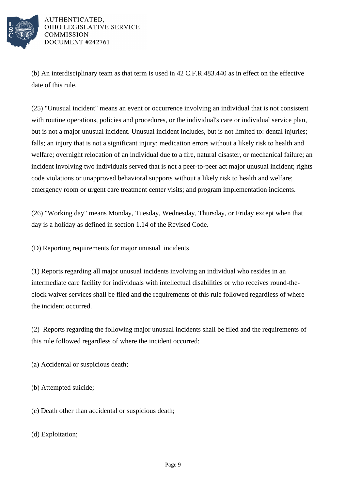

(b) An interdisciplinary team as that term is used in 42 C.F.R. 483.440 as in effect on the effective date of this rule.

 $(25)$  "Unusual incident" means an event or occurrence involving an individual that is not consistent with routine operations, policies and procedures, or the individual's care or individual service plan, but is not a major unusual incident. Unusual incident includes, but is not limited to: dental injuries; falls; an injury that is not a significant injury; medication errors without a likely risk to health and welfare; overnight relocation of an individual due to a fire, natural disaster, or mechanical failure; an incident involving two individuals served that is not a peer-to-peer act major unusual incident; rights code violations or unapproved behavioral supports without a likely risk to health and welfare; emergency room or urgent care treatment center visits; and program implementation incidents.

(26) "Working day" means Monday, Tuesday, Wednesday, Thursday, or Friday except when that day is a holiday as defined in section 1.14 of the Revised Code.

(D) Reporting requirements for major unusual incidents

(1) Reports regarding all major unusual incidents involving an individual who resides in an intermediate care facility for individuals with intellectual disabilities or who receives round-theclock waiver services shall be filed and the requirements of this rule followed regardless of where the incident occurred.

(2) Reports regarding the following major unusual incidents shall be filed and the requirements of this rule followed regardless of where the incident occurred:

(a) Accidental or suspicious death;

(b) Attempted suicide;

(c) Death other than accidental or suspicious death;

(d) Exploitation;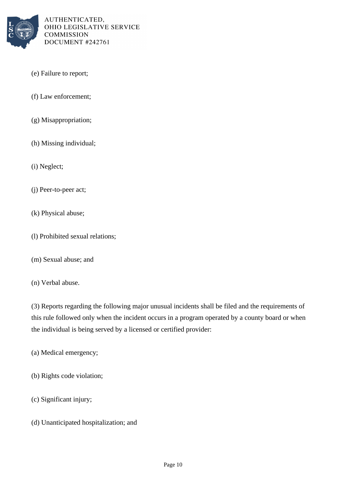

- (e) Failure to report;
- (f) Law enforcement;
- (g) Misappropriation;
- (h) Missing individual;
- (i) Neglect;
- (j) Peer-to-peer act;
- (k) Physical abuse;
- (l) Prohibited sexual relations;
- (m) Sexual abuse; and
- (n) Verbal abuse.

(3) Reports regarding the following major unusual incidents shall be filed and the requirements of this rule followed only when the incident occurs in a program operated by a county board or when the individual is being served by a licensed or certified provider:

- (a) Medical emergency;
- (b) Rights code violation;
- (c) Significant injury;
- (d) Unanticipated hospitalization; and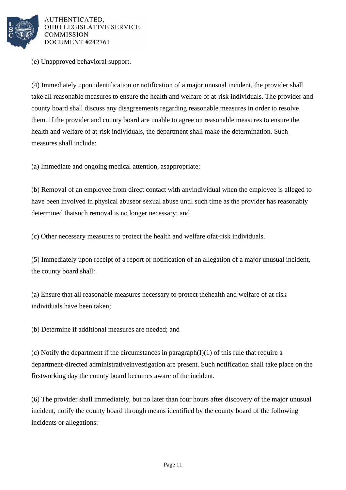

(e) Unapproved behavioral support.

(4) Immediately upon identification or notification of a major unusual incident, the provider shall take all reasonable measures to ensure the health and welfare of at-risk individuals. The provider and county board shall discuss any disagreements regarding reasonable measures in order to resolve them. If the provider and county board are unable to agree on reasonable measures to ensure the health and welfare of at-risk individuals, the department shall make the determination. Such measures shall include:

(a) Immediate and ongoing medical attention, as appropriate;

(b) Removal of an employee from direct contact with any individual when the employee is alleged to have been involved in physical abuse or sexual abuse until such time as the provider has reasonably determined that such removal is no longer necessary; and

(c) Other necessary measures to protect the health and welfare of at-risk individuals.

(5) Immediately upon receipt of a report or notification of an allegation of a major unusual incident, the county board shall:

(a) Ensure that all reasonable measures necessary to protect the health and welfare of at-risk individuals have been taken;

(b) Determine if additional measures are needed; and

(c) Notify the department if the circumstances in paragraph  $(I)(1)$  of this rule that require a department-directed administrative investigation are present. Such notification shall take place on the first working day the county board becomes aware of the incident.

(6) The provider shall immediately, but no later than four hours after discovery of the major unusual incident, notify the county board through means identified by the county board of the following incidents or allegations: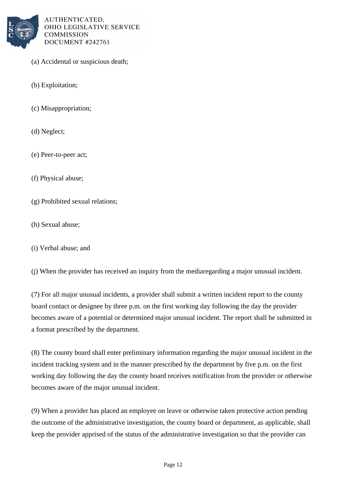

- (a) Accidental or suspicious death;
- (b) Exploitation;
- (c) Misappropriation;
- (d) Neglect;
- (e) Peer-to-peer act;
- (f) Physical abuse;
- (g) Prohibited sexual relations;
- (h) Sexual abuse;
- (i) Verbal abuse; and

(i) When the provider has received an inquiry from the media regarding a major unusual incident.

(7) For all major unusual incidents, a provider shall submit a written incident report to the county board contact or designee by three p.m. on the first working day following the day the provider becomes aware of a potential or determined major unusual incident. The report shall be submitted in a format prescribed by the department.

(8) The county board shall enter preliminary information regarding the major unusual incident in the incident tracking system and in the manner prescribed by the department by five p.m. on the first working day following the day the county board receives notification from the provider or otherwise becomes aware of the major unusual incident.

(9) When a provider has placed an employee on leave or otherwise taken protective action pending the outcome of the administrative investigation, the county board or department, as applicable, shall keep the provider apprised of the status of the administrative investigation so that the provider can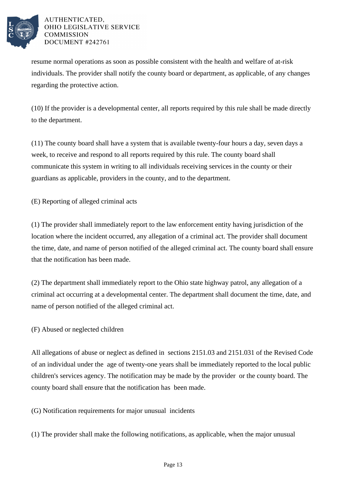

resume normal operations as soon as possible consistent with the health and welfare of at-risk individuals. The provider shall notify the county board or department, as applicable, of any changes regarding the protective action.

(10) If the provider is a developmental center, all reports required by this rule shall be made directly to the department.

 $(11)$  The county board shall have a system that is available twenty-four hours a day, seven days a week, to receive and respond to all reports required by this rule. The county board shall communicate this system in writing to all individuals receiving services in the county or their guardians as applicable, providers in the county, and to the department.

(E) Reporting of alleged criminal acts

(1) The provider shall immediately report to the law enforcement entity having jurisdiction of the location where the incident occurred, any allegation of a criminal act. The provider shall document the time, date, and name of person notified of the alleged criminal act. The county board shall ensure that the notification has been made.

(2) The department shall immediately report to the Ohio state highway patrol, any allegation of a criminal act occurring at a developmental center. The department shall document the time, date, and name of person notified of the alleged criminal act.

# (F) Abused or neglected children

All allegations of abuse or neglect as defined in sections 2151.03 and 2151.031 of the Revised Code of an individual under the age of twenty-one years shall be immediately reported to the local public children's services agency. The notification may be made by the provider or the county board. The county board shall ensure that the notification has been made.

(G) Notification requirements for major unusual incidents

 $(1)$  The provider shall make the following notifications, as applicable, when the major unusual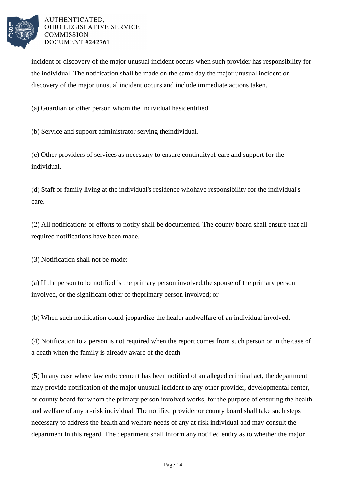

incident or discovery of the major unusual incident occurs when such provider has responsibility for the individual. The notification shall be made on the same day the major unusual incident or discovery of the major unusual incident occurs and include immediate actions taken.

(a) Guardian or other person whom the individual has identified.

(b) Service and support administrator serving the individual.

(c) Other providers of services as necessary to ensure continuity of care and support for the individual.

(d) Staff or family living at the individual's residence who have responsibility for the individual's care.

(2) All notifications or efforts to notify shall be documented. The county board shall ensure that all required notifications have been made.

(3) Notification shall not be made:

(a) If the person to be notified is the primary person involved, the spouse of the primary person involved, or the significant other of the primary person involved; or

(b) When such notification could jeopardize the health and welfare of an individual involved.

(4) Notification to a person is not required when the report comes from such person or in the case of a death when the family is already aware of the death.

(5) In any case where law enforcement has been notified of an alleged criminal act, the department may provide notification of the major unusual incident to any other provider, developmental center, or county board for whom the primary person involved works, for the purpose of ensuring the health and welfare of any at-risk individual. The notified provider or county board shall take such steps necessary to address the health and welfare needs of any at-risk individual and may consult the department in this regard. The department shall inform any notified entity as to whether the major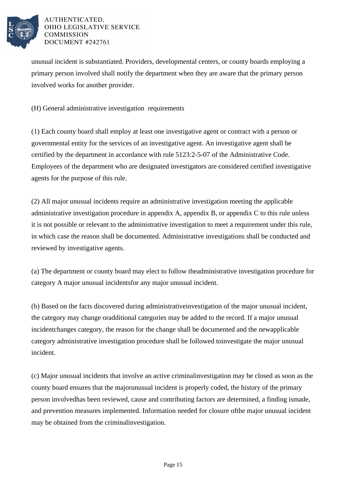

unusual incident is substantiated. Providers, developmental centers, or county boards employing a primary person involved shall notify the department when they are aware that the primary person involved works for another provider.

(H) General administrative investigation requirements

(1) Each county board shall employ at least one investigative agent or contract with a person or governmental entity for the services of an investigative agent. An investigative agent shall be certified by the department in accordance with rule 5123:2-5-07 of the Administrative Code. Employees of the department who are designated investigators are considered certified investigative agents for the purpose of this rule.

(2) All major unusual incidents require an administrative investigation meeting the applicable administrative investigation procedure in appendix A, appendix B, or appendix C to this rule unless it is not possible or relevant to the administrative investigation to meet a requirement under this rule, in which case the reason shall be documented. Administrative investigations shall be conducted and reviewed by investigative agents.

(a) The department or county board may elect to follow the administrative investigation procedure for category A major unusual incidents for any major unusual incident.

(b) Based on the facts discovered during administrative investigation of the major unusual incident, the category may change or additional categories may be added to the record. If a major unusual incident changes category, the reason for the change shall be documented and the new applicable category administrative investigation procedure shall be followed to investigate the major unusual incident.

(c) Major unusual incidents that involve an active criminal investigation may be closed as soon as the county board ensures that the major unusual incident is properly coded, the history of the primary person involved has been reviewed, cause and contributing factors are determined, a finding is made, and prevention measures implemented. Information needed for closure of the major unusual incident may be obtained from the criminal investigation.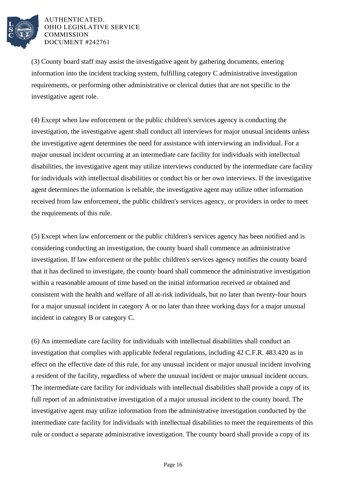

(3) County board staff may assist the investigative agent by gathering documents, entering information into the incident tracking system, fulfilling category  $C$  administrative investigation requirements, or performing other administrative or clerical duties that are not specific to the investigative agent role.

(4) Except when law enforcement or the public children's services agency is conducting the investigation, the investigative agent shall conduct all interviews for major unusual incidents unless the investigative agent determines the need for assistance with interviewing an individual. For a major unusual incident occurring at an intermediate care facility for individuals with intellectual disabilities, the investigative agent may utilize interviews conducted by the intermediate care facility for individuals with intellectual disabilities or conduct his or her own interviews. If the investigative agent determines the information is reliable, the investigative agent may utilize other information received from law enforcement, the public children's services agency, or providers in order to meet the requirements of this rule.

(5) Except when law enforcement or the public children's services agency has been notified and is considering conducting an investigation, the county board shall commence an administrative investigation. If law enforcement or the public children's services agency notifies the county board that it has declined to investigate, the county board shall commence the administrative investigation within a reasonable amount of time based on the initial information received or obtained and consistent with the health and welfare of all at-risk individuals, but no later than twenty-four hours for a major unusual incident in category A or no later than three working days for a major unusual incident in category B or category C.

(6) An intermediate care facility for individuals with intellectual disabilities shall conduct an investigation that complies with applicable federal regulations, including  $42$  C.F.R.  $483.420$  as in effect on the effective date of this rule, for any unusual incident or major unusual incident involving a resident of the facility, regardless of where the unusual incident or major unusual incident occurs. The intermediate care facility for individuals with intellectual disabilities shall provide a copy of its full report of an administrative investigation of a major unusual incident to the county board. The investigative agent may utilize information from the administrative investigation conducted by the intermediate care facility for individuals with intellectual disabilities to meet the requirements of this rule or conduct a separate administrative investigation. The county board shall provide a copy of its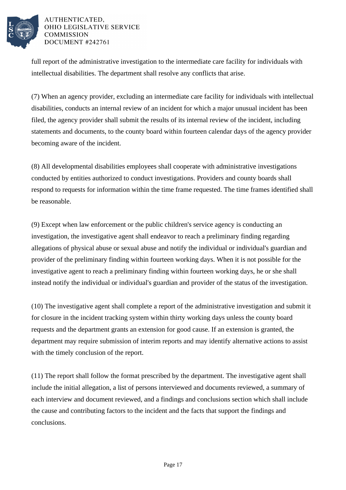

full report of the administrative investigation to the intermediate care facility for individuals with intellectual disabilities. The department shall resolve any conflicts that arise.

(7) When an agency provider, excluding an intermediate care facility for individuals with intellectual disabilities, conducts an internal review of an incident for which a major unusual incident has been filed, the agency provider shall submit the results of its internal review of the incident, including statements and documents, to the county board within fourteen calendar days of the agency provider becoming aware of the incident.

(8) All developmental disabilities employees shall cooperate with administrative investigations conducted by entities authorized to conduct investigations. Providers and county boards shall respond to requests for information within the time frame requested. The time frames identified shall be reasonable.

(9) Except when law enforcement or the public children's service agency is conducting an investigation, the investigative agent shall endeavor to reach a preliminary finding regarding allegations of physical abuse or sexual abuse and notify the individual or individual's guardian and provider of the preliminary finding within fourteen working days. When it is not possible for the investigative agent to reach a preliminary finding within fourteen working days, he or she shall instead notify the individual or individual's guardian and provider of the status of the investigation.

(10) The investigative agent shall complete a report of the administrative investigation and submit it for closure in the incident tracking system within thirty working days unless the county board requests and the department grants an extension for good cause. If an extension is granted, the department may require submission of interim reports and may identify alternative actions to assist with the timely conclusion of the report.

 $(11)$  The report shall follow the format prescribed by the department. The investigative agent shall include the initial allegation, a list of persons interviewed and documents reviewed, a summary of each interview and document reviewed, and a findings and conclusions section which shall include the cause and contributing factors to the incident and the facts that support the findings and conclusions.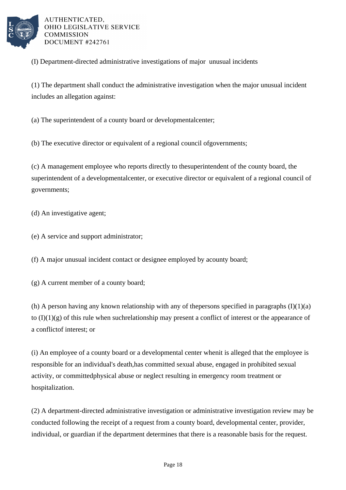

(I) Department-directed administrative investigations of major unusual incidents

(1) The department shall conduct the administrative investigation when the major unusual incident includes an allegation against:

(a) The superintendent of a county board or developmental center;

(b) The executive director or equivalent of a regional council of governments;

(c) A management employee who reports directly to the superintendent of the county board, the superintendent of a developmental center, or executive director or equivalent of a regional council of governments;

(d) An investigative agent;

(e) A service and support administrator;

(f) A major unusual incident contact or designee employed by a county board;

(g) A current member of a county board;

(h) A person having any known relationship with any of the persons specified in paragraphs  $(I)(1)(a)$ to  $(I)(1)(g)$  of this rule when such relationship may present a conflict of interest or the appearance of a conflict of interest; or

(i) An employee of a county board or a developmental center when it is alleged that the employee is responsible for an individual's death, has committed sexual abuse, engaged in prohibited sexual activity, or committed physical abuse or neglect resulting in emergency room treatment or hospitalization.

(2) A department-directed administrative investigation or administrative investigation review may be conducted following the receipt of a request from a county board, developmental center, provider, individual, or guardian if the department determines that there is a reasonable basis for the request.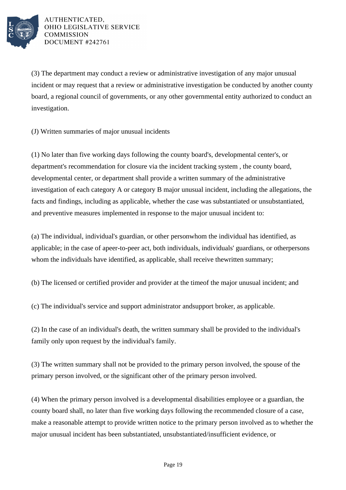

(3) The department may conduct a review or administrative investigation of any major unusual incident or may request that a review or administrative investigation be conducted by another county board, a regional council of governments, or any other governmental entity authorized to conduct an investigation.

(J) Written summaries of major unusual incidents

(1) No later than five working days following the county board's, developmental center's, or department's recommendation for closure via the incident tracking system, the county board, developmental center, or department shall provide a written summary of the administrative investigation of each category A or category B major unusual incident, including the allegations, the facts and findings, including as applicable, whether the case was substantiated or unsubstantiated, and preventive measures implemented in response to the major unusual incident to:

(a) The individual, individual's guardian, or other person whom the individual has identified, as applicable; in the case of a peer-to-peer act, both individuals, individuals' guardians, or other persons whom the individuals have identified, as applicable, shall receive the written summary;

(b) The licensed or certified provider and provider at the time of the major unusual incident; and

(c) The individual's service and support administrator and support broker, as applicable.

(2) In the case of an individual's death, the written summary shall be provided to the individual's family only upon request by the individual's family.

(3) The written summary shall not be provided to the primary person involved, the spouse of the primary person involved, or the significant other of the primary person involved.

(4) When the primary person involved is a developmental disabilities employee or a guardian, the county board shall, no later than five working days following the recommended closure of a case, make a reasonable attempt to provide written notice to the primary person involved as to whether the major unusual incident has been substantiated, unsubstantiated/insufficient evidence, or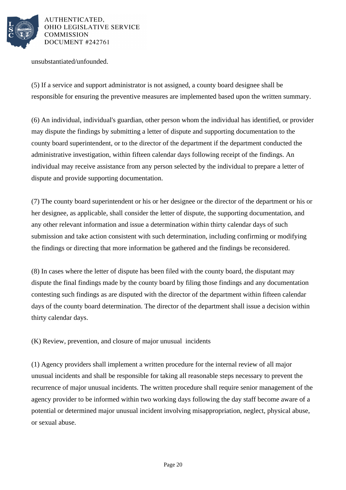

unsubstantiated/unfounded.

(5) If a service and support administrator is not assigned, a county board designee shall be responsible for ensuring the preventive measures are implemented based upon the written summary.

(6) An individual, individual's guardian, other person whom the individual has identified, or provider may dispute the findings by submitting a letter of dispute and supporting documentation to the county board superintendent, or to the director of the department if the department conducted the administrative investigation, within fifteen calendar days following receipt of the findings. An individual may receive assistance from any person selected by the individual to prepare a letter of dispute and provide supporting documentation.

(7) The county board superintendent or his or her designee or the director of the department or his or her designee, as applicable, shall consider the letter of dispute, the supporting documentation, and any other relevant information and issue a determination within thirty calendar days of such submission and take action consistent with such determination, including confirming or modifying the findings or directing that more information be gathered and the findings be reconsidered.

(8) In cases where the letter of dispute has been filed with the county board, the disputant may dispute the final findings made by the county board by filing those findings and any documentation contesting such findings as are disputed with the director of the department within fifteen calendar days of the county board determination. The director of the department shall issue a decision within thirty calendar days.

(K) Review, prevention, and closure of major unusual incidents

(1) Agency providers shall implement a written procedure for the internal review of all major unusual incidents and shall be responsible for taking all reasonable steps necessary to prevent the recurrence of major unusual incidents. The written procedure shall require senior management of the agency provider to be informed within two working days following the day staff become aware of a potential or determined major unusual incident involving misappropriation, neglect, physical abuse, or sexual abuse.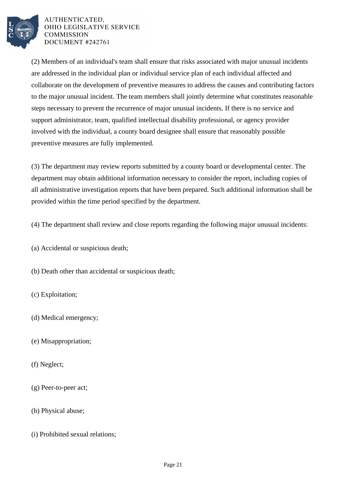

(2) Members of an individual's team shall ensure that risks associated with major unusual incidents are addressed in the individual plan or individual service plan of each individual affected and collaborate on the development of preventive measures to address the causes and contributing factors to the major unusual incident. The team members shall jointly determine what constitutes reasonable steps necessary to prevent the recurrence of major unusual incidents. If there is no service and support administrator, team, qualified intellectual disability professional, or agency provider involved with the individual, a county board designee shall ensure that reasonably possible preventive measures are fully implemented.

(3) The department may review reports submitted by a county board or developmental center. The department may obtain additional information necessary to consider the report, including copies of all administrative investigation reports that have been prepared. Such additional information shall be provided within the time period specified by the department.

(4) The department shall review and close reports regarding the following major unusual incidents:

(a) Accidental or suspicious death;

(b) Death other than accidental or suspicious death;

(c) Exploitation;

(d) Medical emergency;

- (e) Misappropriation;
- (f) Neglect;
- (g) Peer-to-peer act;
- (h) Physical abuse;
- (i) Prohibited sexual relations;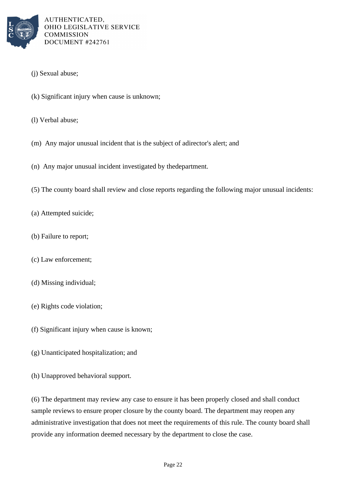

- (j) Sexual abuse;
- (k) Significant injury when cause is unknown;
- (l) Verbal abuse;
- (m) Any major unusual incident that is the subject of a director's alert; and
- (n) Any major unusual incident investigated by the department.
- (5) The county board shall review and close reports regarding the following major unusual incidents:
- (a) Attempted suicide;
- (b) Failure to report;
- (c) Law enforcement;
- (d) Missing individual;
- (e) Rights code violation;
- (f) Significant injury when cause is known;
- (g) Unanticipated hospitalization; and
- (h) Unapproved behavioral support.

(6) The department may review any case to ensure it has been properly closed and shall conduct sample reviews to ensure proper closure by the county board. The department may reopen any administrative investigation that does not meet the requirements of this rule. The county board shall provide any information deemed necessary by the department to close the case.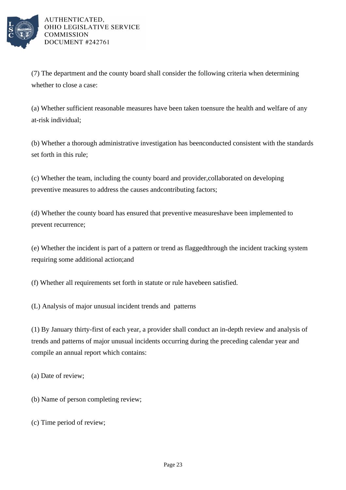

(7) The department and the county board shall consider the following criteria when determining whether to close a case:

(a) Whether sufficient reasonable measures have been taken to ensure the health and welfare of any at-risk individual;

(b) Whether a thorough administrative investigation has been conducted consistent with the standards set forth in this rule;

(c) Whether the team, including the county board and provider, collaborated on developing preventive measures to address the causes and contributing factors;

(d) Whether the county board has ensured that preventive measures have been implemented to prevent recurrence;

(e) Whether the incident is part of a pattern or trend as flagged through the incident tracking system requiring some additional action; and

(f) Whether all requirements set forth in statute or rule have been satisfied.

(L) Analysis of major unusual incident trends and patterns

(1) By January thirty-first of each year, a provider shall conduct an in-depth review and analysis of trends and patterns of major unusual incidents occurring during the preceding calendar year and compile an annual report which contains:

(a) Date of review;

(b) Name of person completing review;

(c) Time period of review;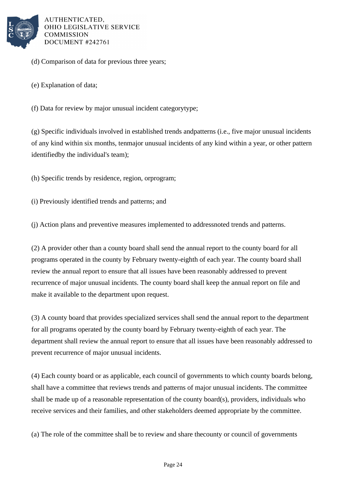

(d) Comparison of data for previous three years;

(e) Explanation of data;

(f) Data for review by major unusual incident category type;

(g) Specific individuals involved in established trends and patterns (i.e., five major unusual incidents of any kind within six months, ten major unusual incidents of any kind within a year, or other pattern identified by the individual's team);

(h) Specific trends by residence, region, or program;

(i) Previously identified trends and patterns; and

(j) Action plans and preventive measures implemented to address noted trends and patterns.

(2) A provider other than a county board shall send the annual report to the county board for all programs operated in the county by February twenty-eighth of each year. The county board shall review the annual report to ensure that all issues have been reasonably addressed to prevent recurrence of major unusual incidents. The county board shall keep the annual report on file and make it available to the department upon request.

(3) A county board that provides specialized services shall send the annual report to the department for all programs operated by the county board by February twenty-eighth of each year. The department shall review the annual report to ensure that all issues have been reasonably addressed to prevent recurrence of major unusual incidents.

(4) Each county board or as applicable, each council of governments to which county boards belong, shall have a committee that reviews trends and patterns of major unusual incidents. The committee shall be made up of a reasonable representation of the county board(s), providers, individuals who receive services and their families, and other stakeholders deemed appropriate by the committee.

(a) The role of the committee shall be to review and share the county or council of governments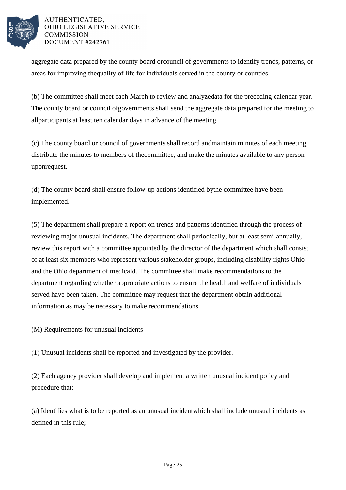

aggregate data prepared by the county board or council of governments to identify trends, patterns, or areas for improving the quality of life for individuals served in the county or counties.

(b) The committee shall meet each March to review and analyze data for the preceding calendar year. The county board or council of governments shall send the aggregate data prepared for the meeting to all participants at least ten calendar days in advance of the meeting.

(c) The county board or council of governments shall record and maintain minutes of each meeting, distribute the minutes to members of the committee, and make the minutes available to any person upon request.

(d) The county board shall ensure follow-up actions identified by the committee have been implemented.

(5) The department shall prepare a report on trends and patterns identified through the process of reviewing major unusual incidents. The department shall periodically, but at least semi-annually, review this report with a committee appointed by the director of the department which shall consist of at least six members who represent various stakeholder groups, including disability rights Ohio and the Ohio department of medicaid. The committee shall make recommendations to the department regarding whether appropriate actions to ensure the health and welfare of individuals served have been taken. The committee may request that the department obtain additional information as may be necessary to make recommendations.

(M) Requirements for unusual incidents

(1) Unusual incidents shall be reported and investigated by the provider.

(2) Each agency provider shall develop and implement a written unusual incident policy and procedure that:

(a) Identifies what is to be reported as an unusual incident which shall include unusual incidents as defined in this rule;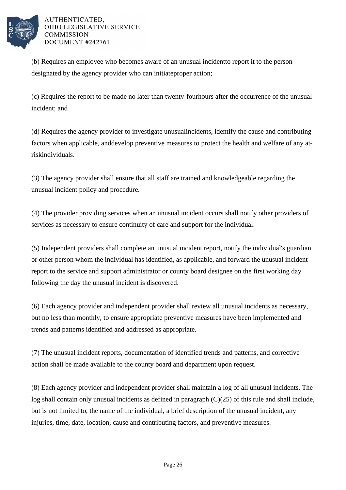

(b) Requires an employee who becomes aware of an unusual incident to report it to the person designated by the agency provider who can initiate proper action;

(c) Requires the report to be made no later than twenty-four hours after the occurrence of the unusual incident; and

(d) Requires the agency provider to investigate unusual incidents, identify the cause and contributing factors when applicable, and develop preventive measures to protect the health and welfare of any atrisk individuals.

(3) The agency provider shall ensure that all staff are trained and knowledgeable regarding the unusual incident policy and procedure.

(4) The provider providing services when an unusual incident occurs shall notify other providers of services as necessary to ensure continuity of care and support for the individual.

(5) Independent providers shall complete an unusual incident report, notify the individual's guardian or other person whom the individual has identified, as applicable, and forward the unusual incident report to the service and support administrator or county board designee on the first working day following the day the unusual incident is discovered.

(6) Each agency provider and independent provider shall review all unusual incidents as necessary, but no less than monthly, to ensure appropriate preventive measures have been implemented and trends and patterns identified and addressed as appropriate.

(7) The unusual incident reports, documentation of identified trends and patterns, and corrective action shall be made available to the county board and department upon request.

(8) Each agency provider and independent provider shall maintain a log of all unusual incidents. The log shall contain only unusual incidents as defined in paragraph  $(C)(25)$  of this rule and shall include, but is not limited to, the name of the individual, a brief description of the unusual incident, any injuries, time, date, location, cause and contributing factors, and preventive measures.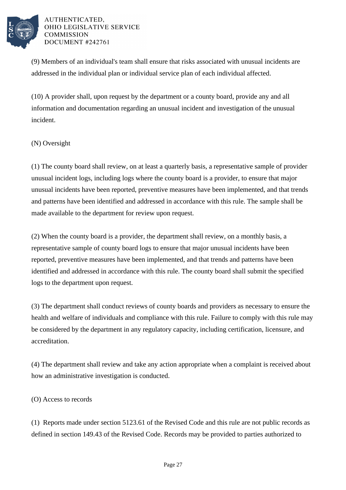

(9) Members of an individual's team shall ensure that risks associated with unusual incidents are addressed in the individual plan or individual service plan of each individual affected.

 $(10)$  A provider shall, upon request by the department or a county board, provide any and all information and documentation regarding an unusual incident and investigation of the unusual incident.

## (N) Oversight

(1) The county board shall review, on at least a quarterly basis, a representative sample of provider unusual incident logs, including logs where the county board is a provider, to ensure that major unusual incidents have been reported, preventive measures have been implemented, and that trends and patterns have been identified and addressed in accordance with this rule. The sample shall be made available to the department for review upon request.

(2) When the county board is a provider, the department shall review, on a monthly basis, a representative sample of county board logs to ensure that major unusual incidents have been reported, preventive measures have been implemented, and that trends and patterns have been identified and addressed in accordance with this rule. The county board shall submit the specified logs to the department upon request.

(3) The department shall conduct reviews of county boards and providers as necessary to ensure the health and welfare of individuals and compliance with this rule. Failure to comply with this rule may be considered by the department in any regulatory capacity, including certification, licensure, and accreditation.

(4) The department shall review and take any action appropriate when a complaint is received about how an administrative investigation is conducted.

## (O) Access to records

(1) Reports made under section 5123.61 of the Revised Code and this rule are not public records as defined in section 149.43 of the Revised Code. Records may be provided to parties authorized to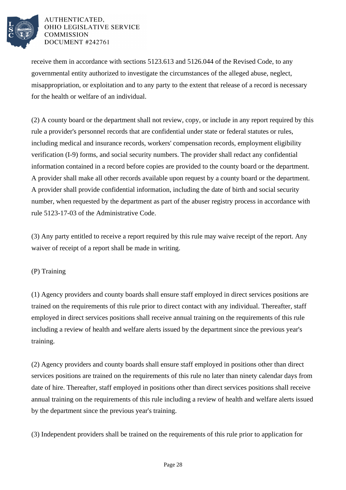

receive them in accordance with sections 5123.613 and 5126.044 of the Revised Code, to any governmental entity authorized to investigate the circumstances of the alleged abuse, neglect, misappropriation, or exploitation and to any party to the extent that release of a record is necessary for the health or welfare of an individual.

(2) A county board or the department shall not review, copy, or include in any report required by this rule a provider's personnel records that are confidential under state or federal statutes or rules, including medical and insurance records, workers' compensation records, employment eligibility verification (I-9) forms, and social security numbers. The provider shall redact any confidential information contained in a record before copies are provided to the county board or the department. A provider shall make all other records available upon request by a county board or the department. A provider shall provide confidential information, including the date of birth and social security number, when requested by the department as part of the abuser registry process in accordance with rule 5123-17-03 of the Administrative Code.

(3) Any party entitled to receive a report required by this rule may waive receipt of the report. Any waiver of receipt of a report shall be made in writing.

# (P) Training

(1) Agency providers and county boards shall ensure staff employed in direct services positions are trained on the requirements of this rule prior to direct contact with any individual. Thereafter, staff employed in direct services positions shall receive annual training on the requirements of this rule including a review of health and welfare alerts issued by the department since the previous year's training.

(2) Agency providers and county boards shall ensure staff employed in positions other than direct services positions are trained on the requirements of this rule no later than ninety calendar days from date of hire. Thereafter, staff employed in positions other than direct services positions shall receive annual training on the requirements of this rule including a review of health and welfare alerts issued by the department since the previous year's training.

(3) Independent providers shall be trained on the requirements of this rule prior to application for